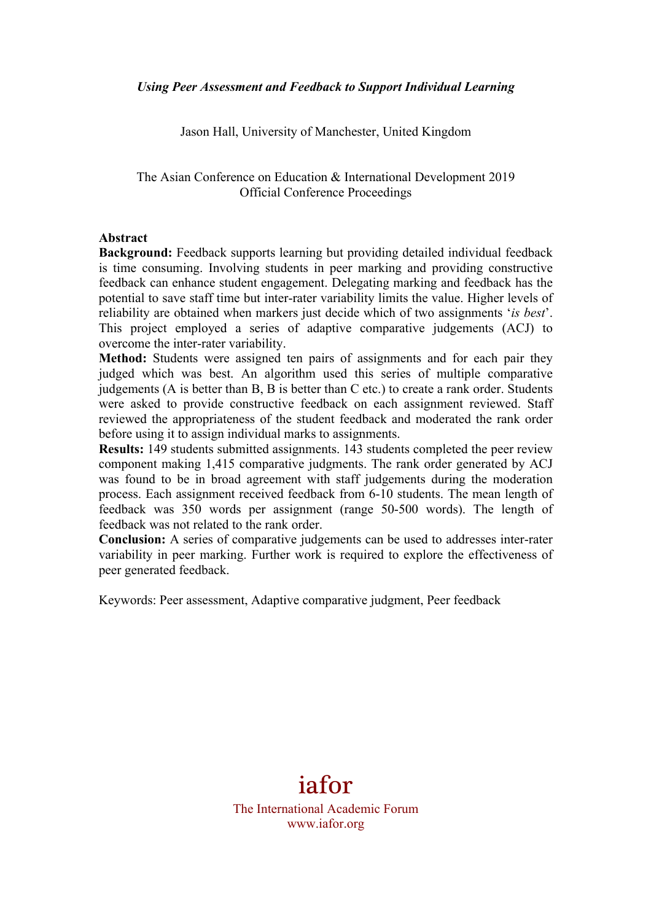Jason Hall, University of Manchester, United Kingdom

The Asian Conference on Education & International Development 2019 Official Conference Proceedings

#### **Abstract**

**Background:** Feedback supports learning but providing detailed individual feedback is time consuming. Involving students in peer marking and providing constructive feedback can enhance student engagement. Delegating marking and feedback has the potential to save staff time but inter-rater variability limits the value. Higher levels of reliability are obtained when markers just decide which of two assignments '*is best*'. This project employed a series of adaptive comparative judgements (ACJ) to overcome the inter-rater variability.

**Method:** Students were assigned ten pairs of assignments and for each pair they judged which was best. An algorithm used this series of multiple comparative judgements (A is better than B, B is better than C etc.) to create a rank order. Students were asked to provide constructive feedback on each assignment reviewed. Staff reviewed the appropriateness of the student feedback and moderated the rank order before using it to assign individual marks to assignments.

**Results:** 149 students submitted assignments. 143 students completed the peer review component making 1,415 comparative judgments. The rank order generated by ACJ was found to be in broad agreement with staff judgements during the moderation process. Each assignment received feedback from 6-10 students. The mean length of feedback was 350 words per assignment (range 50-500 words). The length of feedback was not related to the rank order.

**Conclusion:** A series of comparative judgements can be used to addresses inter-rater variability in peer marking. Further work is required to explore the effectiveness of peer generated feedback.

Keywords: Peer assessment, Adaptive comparative judgment, Peer feedback

# iafor

The International Academic Forum www.iafor.org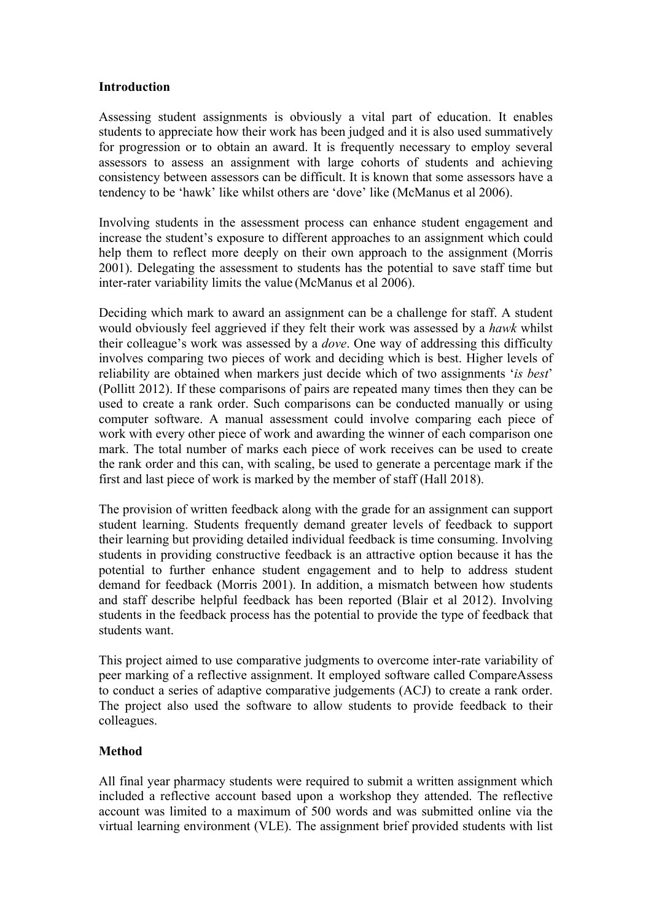#### **Introduction**

Assessing student assignments is obviously a vital part of education. It enables students to appreciate how their work has been judged and it is also used summatively for progression or to obtain an award. It is frequently necessary to employ several assessors to assess an assignment with large cohorts of students and achieving consistency between assessors can be difficult. It is known that some assessors have a tendency to be 'hawk' like whilst others are 'dove' like (McManus et al 2006).

Involving students in the assessment process can enhance student engagement and increase the student's exposure to different approaches to an assignment which could help them to reflect more deeply on their own approach to the assignment (Morris 2001). Delegating the assessment to students has the potential to save staff time but inter-rater variability limits the value (McManus et al 2006).

Deciding which mark to award an assignment can be a challenge for staff. A student would obviously feel aggrieved if they felt their work was assessed by a *hawk* whilst their colleague's work was assessed by a *dove*. One way of addressing this difficulty involves comparing two pieces of work and deciding which is best. Higher levels of reliability are obtained when markers just decide which of two assignments '*is best*' (Pollitt 2012). If these comparisons of pairs are repeated many times then they can be used to create a rank order. Such comparisons can be conducted manually or using computer software. A manual assessment could involve comparing each piece of work with every other piece of work and awarding the winner of each comparison one mark. The total number of marks each piece of work receives can be used to create the rank order and this can, with scaling, be used to generate a percentage mark if the first and last piece of work is marked by the member of staff (Hall 2018).

The provision of written feedback along with the grade for an assignment can support student learning. Students frequently demand greater levels of feedback to support their learning but providing detailed individual feedback is time consuming. Involving students in providing constructive feedback is an attractive option because it has the potential to further enhance student engagement and to help to address student demand for feedback (Morris 2001). In addition, a mismatch between how students and staff describe helpful feedback has been reported (Blair et al 2012). Involving students in the feedback process has the potential to provide the type of feedback that students want.

This project aimed to use comparative judgments to overcome inter-rate variability of peer marking of a reflective assignment. It employed software called CompareAssess to conduct a series of adaptive comparative judgements (ACJ) to create a rank order. The project also used the software to allow students to provide feedback to their colleagues.

## **Method**

All final year pharmacy students were required to submit a written assignment which included a reflective account based upon a workshop they attended. The reflective account was limited to a maximum of 500 words and was submitted online via the virtual learning environment (VLE). The assignment brief provided students with list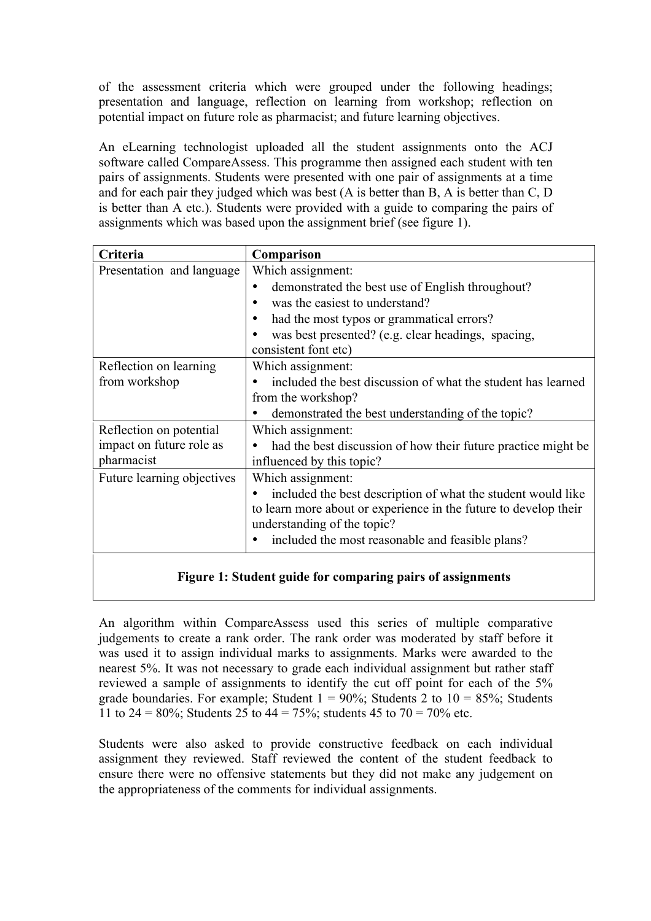of the assessment criteria which were grouped under the following headings; presentation and language, reflection on learning from workshop; reflection on potential impact on future role as pharmacist; and future learning objectives.

An eLearning technologist uploaded all the student assignments onto the ACJ software called CompareAssess. This programme then assigned each student with ten pairs of assignments. Students were presented with one pair of assignments at a time and for each pair they judged which was best (A is better than B, A is better than C, D is better than A etc.). Students were provided with a guide to comparing the pairs of assignments which was based upon the assignment brief (see figure 1).

| Criteria                   | Comparison                                                       |
|----------------------------|------------------------------------------------------------------|
| Presentation and language  | Which assignment:                                                |
|                            | demonstrated the best use of English throughout?                 |
|                            | was the easiest to understand?                                   |
|                            | had the most typos or grammatical errors?                        |
|                            | was best presented? (e.g. clear headings, spacing,               |
|                            | consistent font etc)                                             |
| Reflection on learning     | Which assignment:                                                |
| from workshop              | included the best discussion of what the student has learned     |
|                            | from the workshop?                                               |
|                            | demonstrated the best understanding of the topic?                |
| Reflection on potential    | Which assignment:                                                |
| impact on future role as   | had the best discussion of how their future practice might be    |
| pharmacist                 | influenced by this topic?                                        |
| Future learning objectives | Which assignment:                                                |
|                            | included the best description of what the student would like     |
|                            | to learn more about or experience in the future to develop their |
|                            | understanding of the topic?                                      |
|                            | included the most reasonable and feasible plans?                 |
|                            |                                                                  |

## **Figure 1: Student guide for comparing pairs of assignments**

An algorithm within CompareAssess used this series of multiple comparative judgements to create a rank order. The rank order was moderated by staff before it was used it to assign individual marks to assignments. Marks were awarded to the nearest 5%. It was not necessary to grade each individual assignment but rather staff reviewed a sample of assignments to identify the cut off point for each of the 5% grade boundaries. For example; Student  $1 = 90\%$ ; Students 2 to  $10 = 85\%$ ; Students 11 to 24 = 80%; Students 25 to 44 = 75%; students 45 to 70 = 70% etc.

Students were also asked to provide constructive feedback on each individual assignment they reviewed. Staff reviewed the content of the student feedback to ensure there were no offensive statements but they did not make any judgement on the appropriateness of the comments for individual assignments.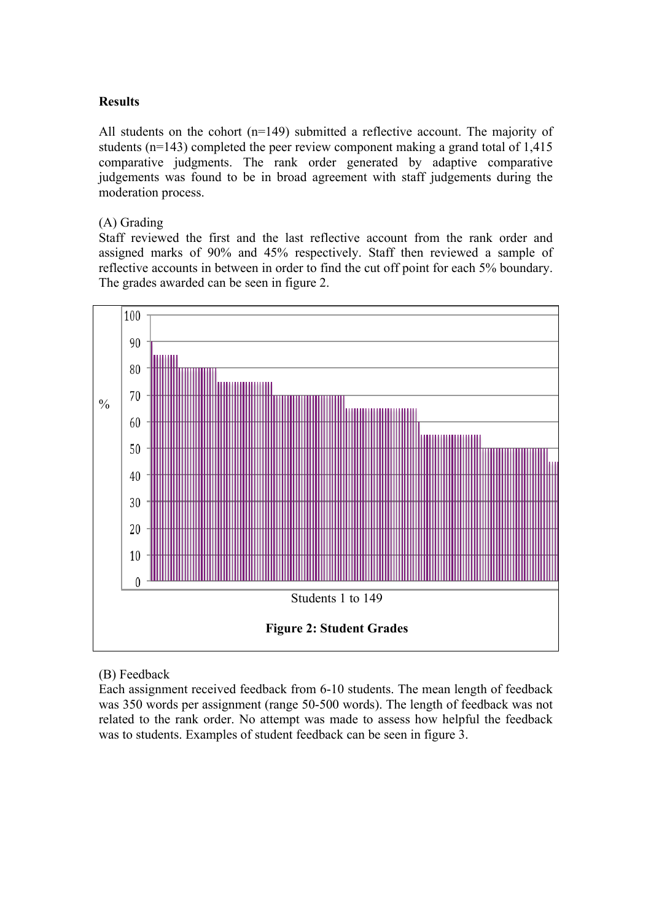#### **Results**

All students on the cohort (n=149) submitted a reflective account. The majority of students (n=143) completed the peer review component making a grand total of 1,415 comparative judgments. The rank order generated by adaptive comparative judgements was found to be in broad agreement with staff judgements during the moderation process.

#### (A) Grading

Staff reviewed the first and the last reflective account from the rank order and assigned marks of 90% and 45% respectively. Staff then reviewed a sample of reflective accounts in between in order to find the cut off point for each 5% boundary. The grades awarded can be seen in figure 2.



(B) Feedback

Each assignment received feedback from 6-10 students. The mean length of feedback was 350 words per assignment (range 50-500 words). The length of feedback was not related to the rank order. No attempt was made to assess how helpful the feedback was to students. Examples of student feedback can be seen in figure 3.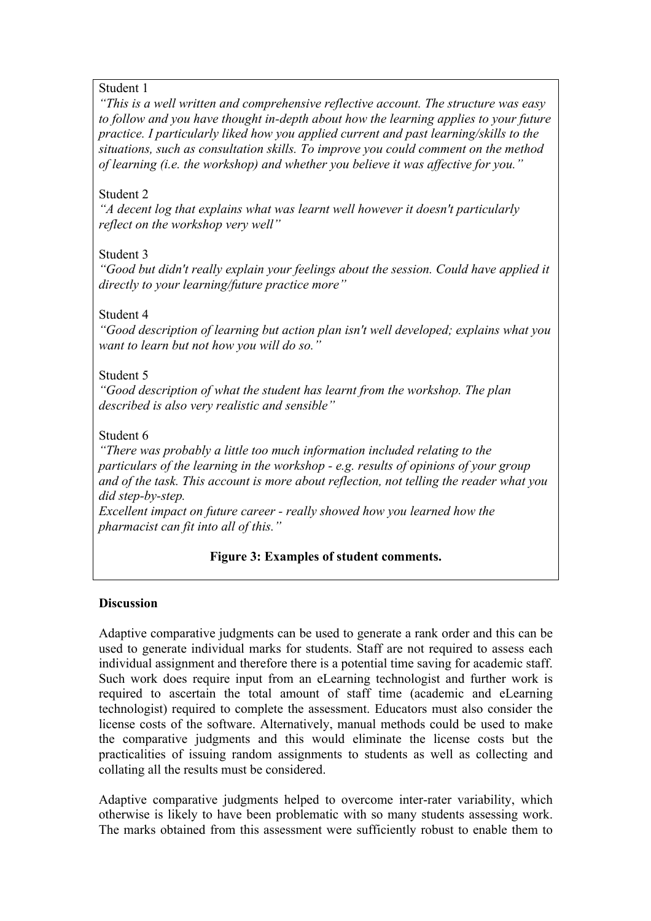## Student 1

*"This is a well written and comprehensive reflective account. The structure was easy to follow and you have thought in-depth about how the learning applies to your future practice. I particularly liked how you applied current and past learning/skills to the situations, such as consultation skills. To improve you could comment on the method of learning (i.e. the workshop) and whether you believe it was affective for you."*

# Student 2

*"A decent log that explains what was learnt well however it doesn't particularly reflect on the workshop very well"*

# Student 3

*"Good but didn't really explain your feelings about the session. Could have applied it directly to your learning/future practice more"*

# Student 4

*"Good description of learning but action plan isn't well developed; explains what you want to learn but not how you will do so."*

# Student 5

*"Good description of what the student has learnt from the workshop. The plan described is also very realistic and sensible"*

# Student 6

*"There was probably a little too much information included relating to the particulars of the learning in the workshop - e.g. results of opinions of your group and of the task. This account is more about reflection, not telling the reader what you did step-by-step.*

*Excellent impact on future career - really showed how you learned how the pharmacist can fit into all of this."*

# **Figure 3: Examples of student comments.**

## **Discussion**

Adaptive comparative judgments can be used to generate a rank order and this can be used to generate individual marks for students. Staff are not required to assess each individual assignment and therefore there is a potential time saving for academic staff. Such work does require input from an eLearning technologist and further work is required to ascertain the total amount of staff time (academic and eLearning technologist) required to complete the assessment. Educators must also consider the license costs of the software. Alternatively, manual methods could be used to make the comparative judgments and this would eliminate the license costs but the practicalities of issuing random assignments to students as well as collecting and collating all the results must be considered.

Adaptive comparative judgments helped to overcome inter-rater variability, which otherwise is likely to have been problematic with so many students assessing work. The marks obtained from this assessment were sufficiently robust to enable them to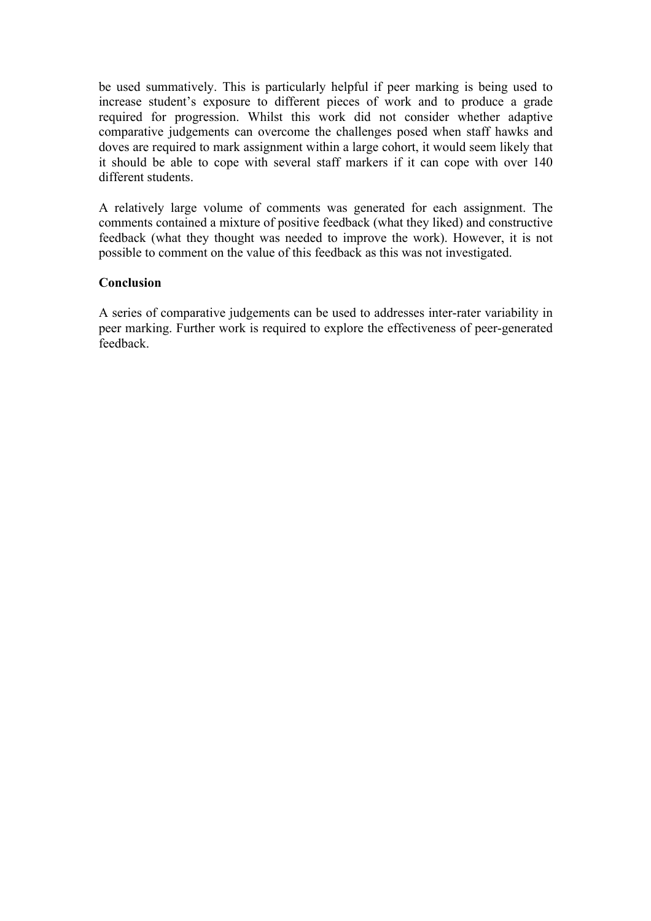be used summatively. This is particularly helpful if peer marking is being used to increase student's exposure to different pieces of work and to produce a grade required for progression. Whilst this work did not consider whether adaptive comparative judgements can overcome the challenges posed when staff hawks and doves are required to mark assignment within a large cohort, it would seem likely that it should be able to cope with several staff markers if it can cope with over 140 different students.

A relatively large volume of comments was generated for each assignment. The comments contained a mixture of positive feedback (what they liked) and constructive feedback (what they thought was needed to improve the work). However, it is not possible to comment on the value of this feedback as this was not investigated.

#### **Conclusion**

A series of comparative judgements can be used to addresses inter-rater variability in peer marking. Further work is required to explore the effectiveness of peer-generated feedback.